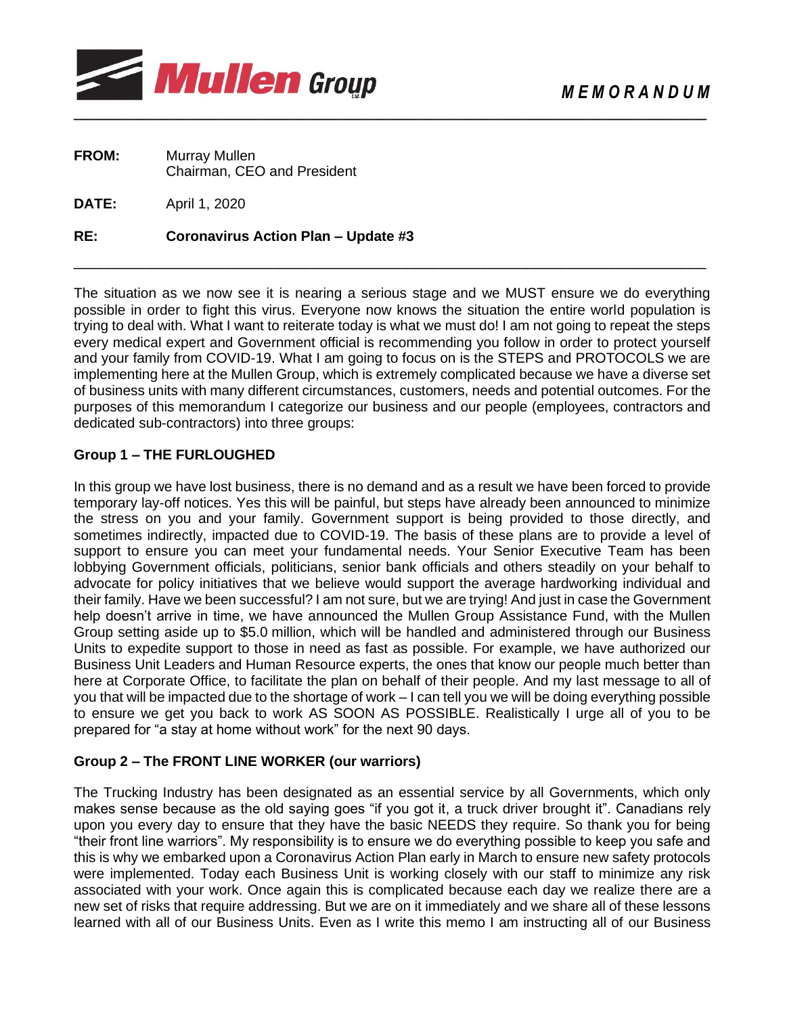

| <b>FROM:</b> | Murray Mullen               |
|--------------|-----------------------------|
|              | Chairman, CEO and President |

**DATE:** April 1, 2020

#### **RE: Coronavirus Action Plan – Update #3**

The situation as we now see it is nearing a serious stage and we MUST ensure we do everything possible in order to fight this virus. Everyone now knows the situation the entire world population is trying to deal with. What I want to reiterate today is what we must do! I am not going to repeat the steps every medical expert and Government official is recommending you follow in order to protect yourself and your family from COVID-19. What I am going to focus on is the STEPS and PROTOCOLS we are implementing here at the Mullen Group, which is extremely complicated because we have a diverse set of business units with many different circumstances, customers, needs and potential outcomes. For the purposes of this memorandum I categorize our business and our people (employees, contractors and dedicated sub-contractors) into three groups:

\_\_\_\_\_\_\_\_\_\_\_\_\_\_\_\_\_\_\_\_\_\_\_\_\_\_\_\_\_\_\_\_\_\_\_\_\_\_\_\_\_\_\_\_\_\_\_\_\_\_\_\_\_\_\_\_\_\_\_\_\_\_\_\_\_\_\_\_\_\_\_\_\_\_

## **Group 1 – THE FURLOUGHED**

In this group we have lost business, there is no demand and as a result we have been forced to provide temporary lay-off notices. Yes this will be painful, but steps have already been announced to minimize the stress on you and your family. Government support is being provided to those directly, and sometimes indirectly, impacted due to COVID-19. The basis of these plans are to provide a level of support to ensure you can meet your fundamental needs. Your Senior Executive Team has been lobbying Government officials, politicians, senior bank officials and others steadily on your behalf to advocate for policy initiatives that we believe would support the average hardworking individual and their family. Have we been successful? I am not sure, but we are trying! And just in case the Government help doesn't arrive in time, we have announced the Mullen Group Assistance Fund, with the Mullen Group setting aside up to \$5.0 million, which will be handled and administered through our Business Units to expedite support to those in need as fast as possible. For example, we have authorized our Business Unit Leaders and Human Resource experts, the ones that know our people much better than here at Corporate Office, to facilitate the plan on behalf of their people. And my last message to all of you that will be impacted due to the shortage of work – I can tell you we will be doing everything possible to ensure we get you back to work AS SOON AS POSSIBLE. Realistically I urge all of you to be prepared for "a stay at home without work" for the next 90 days.

## **Group 2 – The FRONT LINE WORKER (our warriors)**

The Trucking Industry has been designated as an essential service by all Governments, which only makes sense because as the old saying goes "if you got it, a truck driver brought it". Canadians rely upon you every day to ensure that they have the basic NEEDS they require. So thank you for being "their front line warriors". My responsibility is to ensure we do everything possible to keep you safe and this is why we embarked upon a Coronavirus Action Plan early in March to ensure new safety protocols were implemented. Today each Business Unit is working closely with our staff to minimize any risk associated with your work. Once again this is complicated because each day we realize there are a new set of risks that require addressing. But we are on it immediately and we share all of these lessons learned with all of our Business Units. Even as I write this memo I am instructing all of our Business